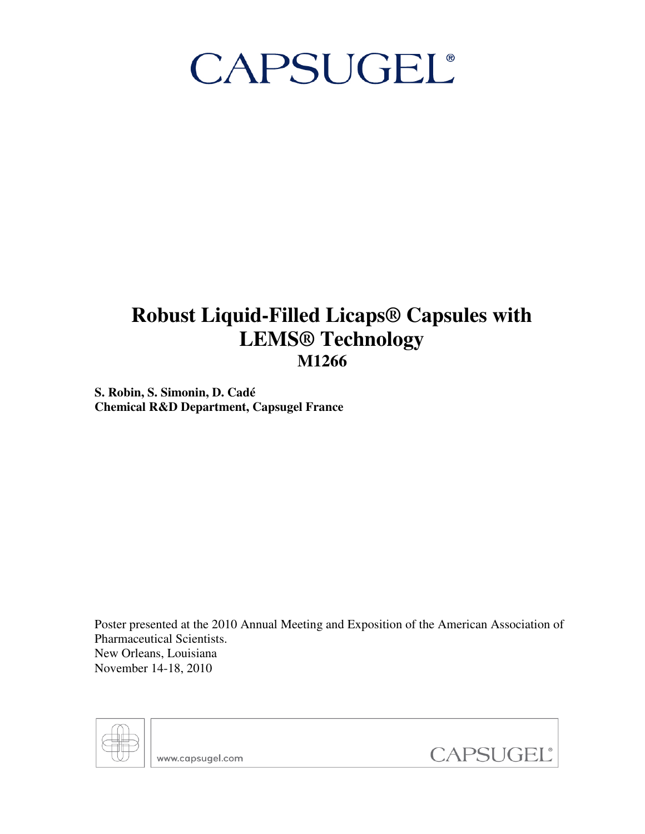# CAPSUGEL®

## **Robust Liquid-Filled Licaps® Capsules with LEMS® Technology M1266**

**S. Robin, S. Simonin, D. Cadé Chemical R&D Department, Capsugel France** 

Poster presented at the 2010 Annual Meeting and Exposition of the American Association of Pharmaceutical Scientists. New Orleans, Louisiana November 14-18, 2010



www.capsugel.com

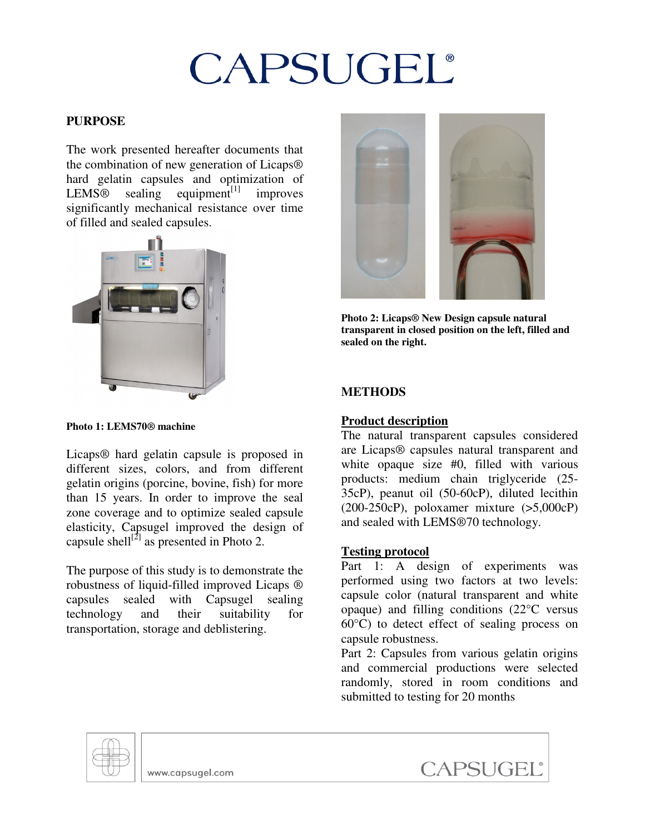# CAPSUGEL®

### **PURPOSE**

The work presented hereafter documents that the combination of new generation of Licaps® hard gelatin capsules and optimization of  $LEMS@$  sealing equipment<sup>[1]</sup> improves significantly mechanical resistance over time of filled and sealed capsules.



#### **Photo 1: LEMS70® machine**

Licaps® hard gelatin capsule is proposed in different sizes, colors, and from different gelatin origins (porcine, bovine, fish) for more than 15 years. In order to improve the seal zone coverage and to optimize sealed capsule elasticity, Capsugel improved the design of capsule shell<sup>[2]</sup> as presented in Photo 2.

The purpose of this study is to demonstrate the robustness of liquid-filled improved Licaps ® capsules sealed with Capsugel sealing technology and their suitability for transportation, storage and deblistering.



**Photo 2: Licaps® New Design capsule natural transparent in closed position on the left, filled and sealed on the right.** 

### **METHODS**

#### **Product description**

The natural transparent capsules considered are Licaps® capsules natural transparent and white opaque size #0, filled with various products: medium chain triglyceride (25- 35cP), peanut oil (50-60cP), diluted lecithin (200-250cP), poloxamer mixture (>5,000cP) and sealed with LEMS®70 technology.

#### **Testing protocol**

Part 1: A design of experiments was performed using two factors at two levels: capsule color (natural transparent and white opaque) and filling conditions (22°C versus 60°C) to detect effect of sealing process on capsule robustness.

Part 2: Capsules from various gelatin origins and commercial productions were selected randomly, stored in room conditions and submitted to testing for 20 months



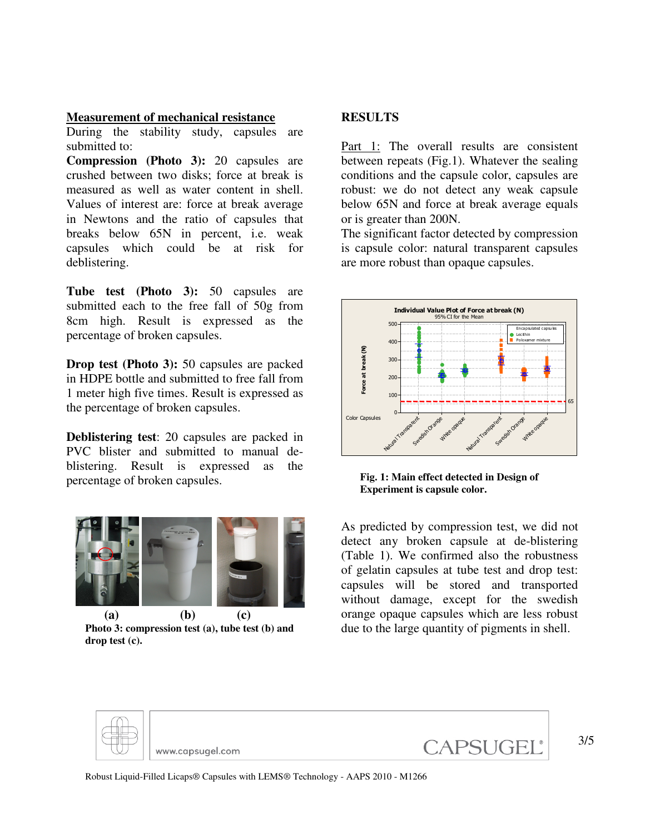#### **Measurement of mechanical resistance**

During the stability study, capsules are submitted to:

**Compression (Photo 3):** 20 capsules are crushed between two disks; force at break is measured as well as water content in shell. Values of interest are: force at break average in Newtons and the ratio of capsules that breaks below 65N in percent, i.e. weak capsules which could be at risk for deblistering.

**Tube test (Photo 3):** 50 capsules are submitted each to the free fall of 50g from 8cm high. Result is expressed as the percentage of broken capsules.

**Drop test (Photo 3):** 50 capsules are packed in HDPE bottle and submitted to free fall from 1 meter high five times. Result is expressed as the percentage of broken capsules.

**Deblistering test**: 20 capsules are packed in PVC blister and submitted to manual deblistering. Result is expressed as the percentage of broken capsules.



**Photo 3: compression test (a), tube test (b) and drop test (c).** 

#### **RESULTS**

Part 1: The overall results are consistent between repeats (Fig.1). Whatever the sealing conditions and the capsule color, capsules are robust: we do not detect any weak capsule below 65N and force at break average equals or is greater than 200N.

The significant factor detected by compression is capsule color: natural transparent capsules are more robust than opaque capsules.



**Fig. 1: Main effect detected in Design of Experiment is capsule color.** 

As predicted by compression test, we did not detect any broken capsule at de-blistering (Table 1). We confirmed also the robustness of gelatin capsules at tube test and drop test: capsules will be stored and transported without damage, except for the swedish orange opaque capsules which are less robust due to the large quantity of pigments in shell.



Robust Liquid-Filled Licaps® Capsules with LEMS® Technology - AAPS 2010 - M1266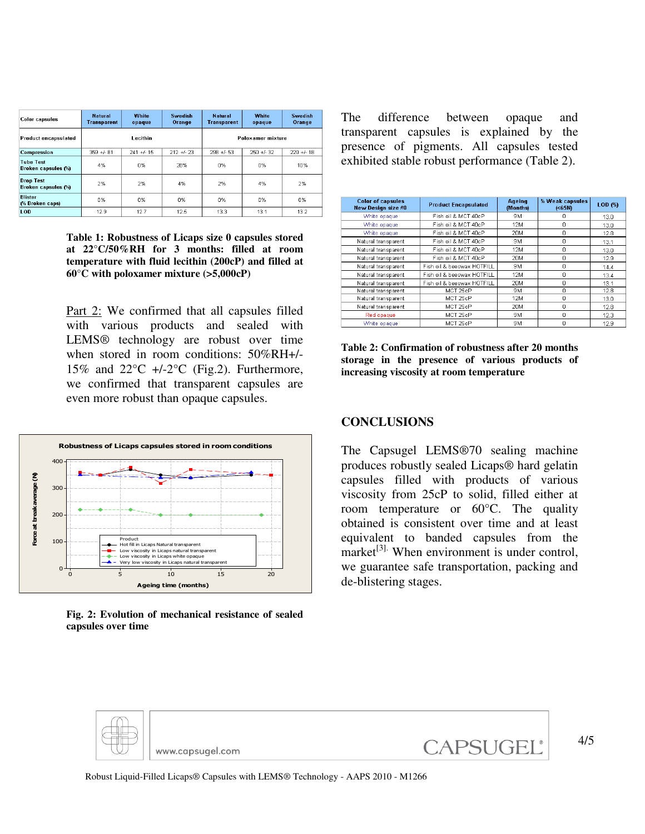| <b>Color capsules</b>                          | <b>Natural</b><br><b>Transparent</b> | <b>White</b><br>opaque | Swedish<br>Orange | <b>Natural</b><br><b>Transparent</b> | <b>White</b><br>opaque | <b>Swedish</b><br>Orange |
|------------------------------------------------|--------------------------------------|------------------------|-------------------|--------------------------------------|------------------------|--------------------------|
| Product encapsulated                           | Lecithin                             |                        |                   | Poloxamer mixture                    |                        |                          |
| Compression                                    | $359 + 681$                          | $241 + 1.15$           | $212 + 23$        | $298 + 53$                           | $250 + 32$             | $220 + 18$               |
| <b>Tube Test</b><br><b>Broken capsules (%)</b> | 4%                                   | n%                     | 28%               | 0%                                   | n%                     | 10%                      |
| <b>Drop Test</b><br><b>Broken capsules (%)</b> | 2%                                   | 2%                     | 4%                | 2%                                   | 4%                     | 2%                       |
| <b>Blister</b><br>(% Broken caps)              | 0%                                   | 0%                     | 0%                | 0%                                   | 0%                     | 0%                       |
| LOD.                                           | 12.9                                 | 12.7                   | 12.5              | 13.3                                 | 13.1                   | 13.2                     |

**Table 1: Robustness of Licaps size 0 capsules stored at 22°C/50%RH for 3 months: filled at room temperature with fluid lecithin (200cP) and filled at 60°C with poloxamer mixture (>5,000cP)** 

Part 2: We confirmed that all capsules filled with various products and sealed with LEMS® technology are robust over time when stored in room conditions: 50%RH+/- 15% and  $22^{\circ}$ C +/-2 $^{\circ}$ C (Fig.2). Furthermore, we confirmed that transparent capsules are even more robust than opaque capsules.



**Fig. 2: Evolution of mechanical resistance of sealed capsules over time** 

The difference between opaque and transparent capsules is explained by the presence of pigments. All capsules tested exhibited stable robust performance (Table 2).

| <b>Color of capsules</b><br>New Design size #0 | <b>Product Encapsulated</b> | Ageing<br>(Months) | % Weak capsules<br>( <sub>65</sub> ) | LOD (%) |
|------------------------------------------------|-----------------------------|--------------------|--------------------------------------|---------|
| White opaque                                   | Fish oil & MCT 40cP         | 9M                 | n                                    | 13.0    |
| White opaque                                   | Fish oil & MCT 40cP         | 12M                | 0                                    | 13.0    |
| White opaque                                   | Fish oil & MCT 40cP         | 20M                | 0                                    | 12.8    |
| Natural transparent                            | Fish oil & MCT 40cP         | 9M                 | $\Omega$                             | 13.1    |
| Natural transparent                            | Fish oil & MCT 40cP         | 12M                | $\Omega$                             | 13.0    |
| Natural transparent                            | Fish oil & MCT 40cP         | 20M                | $\Omega$                             | 12.9    |
| Natural transparent                            | Fish oil & beeswax HOTFILL  | 9M                 | n                                    | 14.4    |
| Natural transparent                            | Fish oil & beeswax HOTFILL  | <b>12M</b>         | 0                                    | 13.4    |
| Natural transparent                            | Fish oil & beeswax HOTFILL  | 20M                | 0                                    | 13.1    |
| Natural transparent                            | MCT 25cP                    | 9M                 | $\Omega$                             | 12.8    |
| Natural transparent                            | MCT 25cP                    | 12M                | 0                                    | 13.0    |
| Natural transparent                            | MCT 25cP                    | 20M                | 0                                    | 12.8    |
| Red opaque                                     | MCT 25cP                    | <b>9M</b>          | $\Omega$                             | 12.3    |
| White opaque                                   | MCT 25cP                    | 9M                 | $\Omega$                             | 12.9    |

**Table 2: Confirmation of robustness after 20 months storage in the presence of various products of increasing viscosity at room temperature** 

#### **CONCLUSIONS**

The Capsugel LEMS®70 sealing machine produces robustly sealed Licaps® hard gelatin capsules filled with products of various viscosity from 25cP to solid, filled either at room temperature or 60°C. The quality obtained is consistent over time and at least equivalent to banded capsules from the market $[3]$ . When environment is under control, we guarantee safe transportation, packing and de-blistering stages.



Robust Liquid-Filled Licaps® Capsules with LEMS® Technology - AAPS 2010 - M1266